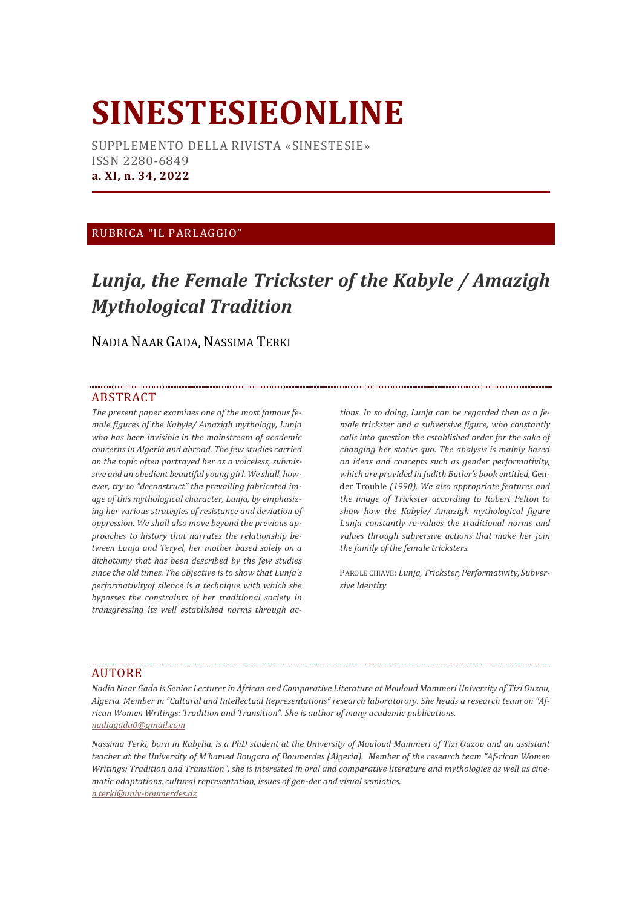# **SINESTESIEONLINE**

SUPPLEMENTO DELLA RIVISTA «SINESTESIE» ISSN 2280-6849 **a. XI, n. 34, 2022**

### RUBRICA "IL PARLAGGIO"

## *Lunja, the Female Trickster of the Kabyle / Amazigh Mythological Tradition*

NADIA NAAR GADA, NASSIMA TERKI

#### **ABSTRACT**

*The present paper examines one of the most famous female figures of the Kabyle/ Amazigh mythology, Lunja who has been invisible in the mainstream of academic concerns in Algeria and abroad. The few studies carried on the topic often portrayed her as a voiceless, submissive and an obedient beautiful young girl. We shall, however, try to "deconstruct" the prevailing fabricated image of this mythological character, Lunja, by emphasizing her various strategies of resistance and deviation of oppression. We shall also move beyond the previous approaches to history that narrates the relationship between Lunja and Teryel, her mother based solely on a dichotomy that has been described by the few studies since the old times. The objective is to show that Lunja's performativityof silence is a technique with which she bypasses the constraints of her traditional society in transgressing its well established norms through ac-* *tions. In so doing, Lunja can be regarded then as a female trickster and a subversive figure, who constantly calls into question the established order for the sake of changing her status quo. The analysis is mainly based on ideas and concepts such as gender performativity, which are provided in Judith Butler's book entitled,* Gender Trouble *(1990). We also appropriate features and the image of Trickster according to Robert Pelton to show how the Kabyle/ Amazigh mythological figure Lunja constantly re-values the traditional norms and values through subversive actions that make her join the family of the female tricksters.*

PAROLE CHIAVE: *Lunja, Trickster, Performativity, Subversive Identity*

#### AUTORE

*Nadia Naar Gada is Senior Lecturer in African and Comparative Literature at Mouloud Mammeri University of Tizi Ouzou, Algeria. Member in "Cultural and Intellectual Representations" research laboratorory. She heads a research team on "African Women Writings: Tradition and Transition". She is author of many academic publications. nadiagada0@gmail.com* 

*Nassima Terki, born in Kabylia, is a PhD student at the University of Mouloud Mammeri of Tizi Ouzou and an assistant teacher at the University of M'hamed Bougara of Boumerdes (Algeria). Member of the research team "Af-rican Women Writings: Tradition and Transition", she is interested in oral and comparative literature and mythologies as well as cinematic adaptations, cultural representation, issues of gen-der and visual semiotics. [n.terki@univ-boumerdes.dz](mailto:n.terki@univ-boumerdes.dz)*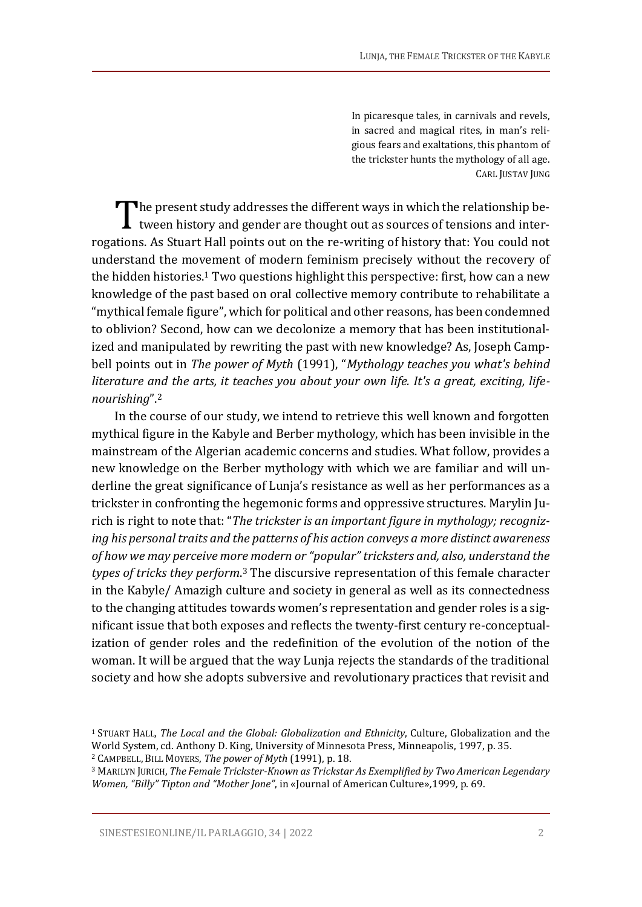In picaresque tales, in carnivals and revels, in sacred and magical rites, in man's religious fears and exaltations, this phantom of the trickster hunts the mythology of all age. CARL JUSTAV JUNG

he present study addresses the different ways in which the relationship be-The present study addresses the different ways in which the relationship between history and gender are thought out as sources of tensions and interrogations. As Stuart Hall points out on the re-writing of history that: You could not understand the movement of modern feminism precisely without the recovery of the hidden histories. <sup>1</sup> Two questions highlight this perspective: first, how can a new knowledge of the past based on oral collective memory contribute to rehabilitate a "mythical female figure", which for political and other reasons, has been condemned to oblivion? Second, how can we decolonize a memory that has been institutionalized and manipulated by rewriting the past with new knowledge? As, Joseph Campbell points out in *The power of Myth* (1991), "*Mythology teaches you what's behind literature and the arts, it teaches you about your own life. It's a great, exciting, lifenourishing*". 2

In the course of our study, we intend to retrieve this well known and forgotten mythical figure in the Kabyle and Berber mythology, which has been invisible in the mainstream of the Algerian academic concerns and studies. What follow, provides a new knowledge on the Berber mythology with which we are familiar and will underline the great significance of Lunja's resistance as well as her performances as a trickster in confronting the hegemonic forms and oppressive structures. Marylin Jurich is right to note that: "*The trickster is an important figure in mythology; recognizing his personal traits and the patterns of his action conveys a more distinct awareness of how we may perceive more modern or "popular" tricksters and, also, understand the types of tricks they perform*. <sup>3</sup> The discursive representation of this female character in the Kabyle/ Amazigh culture and society in general as well as its connectedness to the changing attitudes towards women's representation and gender roles is a significant issue that both exposes and reflects the twenty-first century re-conceptualization of gender roles and the redefinition of the evolution of the notion of the woman. It will be argued that the way Lunja rejects the standards of the traditional society and how she adopts subversive and revolutionary practices that revisit and

<sup>1</sup> STUART HALL, *The Local and the Global: Globalization and Ethnicity*, Culture, Globalization and the World System, cd. Anthony D. King, University of Minnesota Press, Minneapolis, 1997, p. 35.

<sup>2</sup> CAMPBELL, BILL MOYERS, *The power of Myth* (1991), p. 18.

<sup>3</sup> MARILYN JURICH, *The Female Trickster-Known as Trickstar As Exemplified by Two American Legendary Women, "Billy" Tipton and "Mother Jone"*, in «Journal of American Culture»*,*1999*,* p. 69.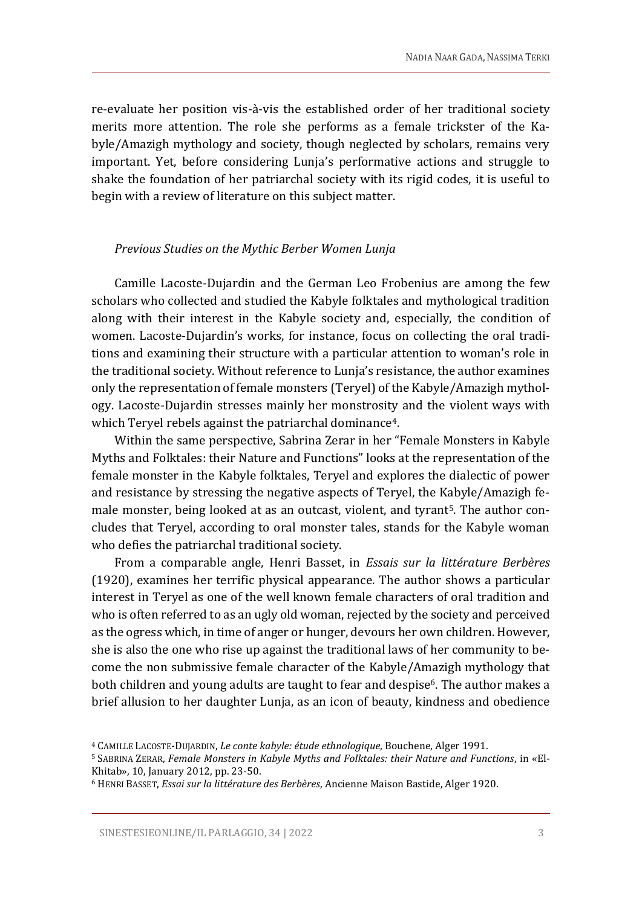re-evaluate her position vis-à-vis the established order of her traditional society merits more attention. The role she performs as a female trickster of the Kabyle/Amazigh mythology and society, though neglected by scholars, remains very important. Yet, before considering Lunja's performative actions and struggle to shake the foundation of her patriarchal society with its rigid codes, it is useful to begin with a review of literature on this subject matter.

#### *Previous Studies on the Mythic Berber Women Lunja*

Camille Lacoste-Dujardin and the German Leo Frobenius are among the few scholars who collected and studied the Kabyle folktales and mythological tradition along with their interest in the Kabyle society and, especially, the condition of women. Lacoste-Dujardin's works, for instance, focus on collecting the oral traditions and examining their structure with a particular attention to woman's role in the traditional society. Without reference to Lunja's resistance, the author examines only the representation of female monsters (Teryel) of the Kabyle/Amazigh mythology. Lacoste-Dujardin stresses mainly her monstrosity and the violent ways with which Teryel rebels against the patriarchal dominance<sup>4</sup>.

Within the same perspective, Sabrina Zerar in her "Female Monsters in Kabyle Myths and Folktales: their Nature and Functions" looks at the representation of the female monster in the Kabyle folktales, Teryel and explores the dialectic of power and resistance by stressing the negative aspects of Teryel, the Kabyle/Amazigh female monster, being looked at as an outcast, violent, and tyrant<sup>5</sup>. The author concludes that Teryel, according to oral monster tales, stands for the Kabyle woman who defies the patriarchal traditional society.

From a comparable angle, Henri Basset, in *Essais sur la littérature Berbères* (1920), examines her terrific physical appearance. The author shows a particular interest in Teryel as one of the well known female characters of oral tradition and who is often referred to as an ugly old woman, rejected by the society and perceived as the ogress which, in time of anger or hunger, devours her own children. However, she is also the one who rise up against the traditional laws of her community to become the non submissive female character of the Kabyle/Amazigh mythology that both children and young adults are taught to fear and despise<sup>6</sup>. The author makes a brief allusion to her daughter Lunja, as an icon of beauty, kindness and obedience

<sup>4</sup> CAMILLE LACOSTE-DUJARDIN, *Le conte kabyle: étude ethnologique*, Bouchene, Alger 1991.

<sup>5</sup> SABRINA ZERAR, *Female Monsters in Kabyle Myths and Folktales: their Nature and Functions*, in «El-Khitab», 10, January 2012, pp. 23-50.

<sup>6</sup> HENRI BASSET, *Essai sur la littérature des Berbères*, Ancienne Maison Bastide, Alger 1920.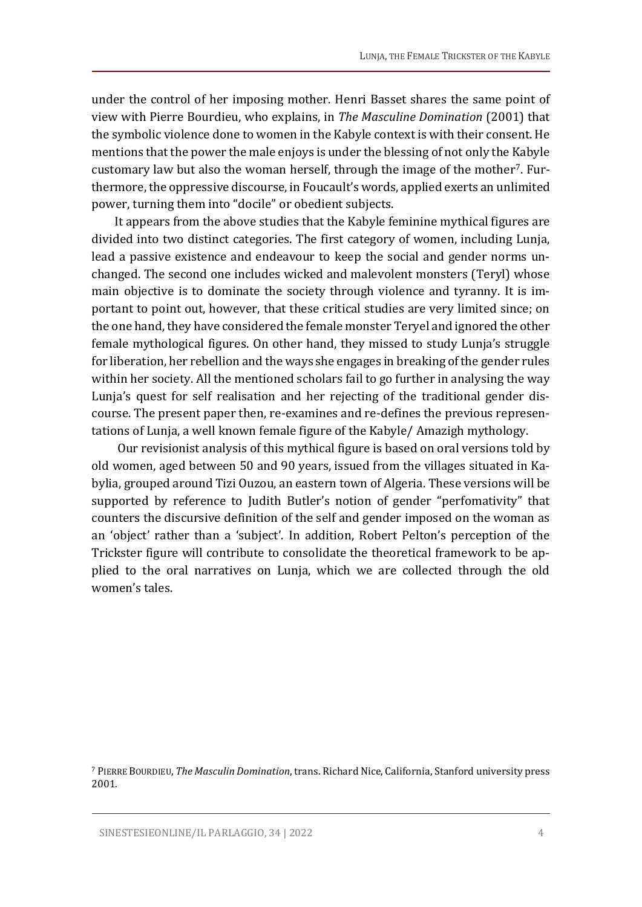under the control of her imposing mother. Henri Basset shares the same point of view with Pierre Bourdieu, who explains, in *The Masculine Domination* (2001) that the symbolic violence done to women in the Kabyle context is with their consent. He mentions that the power the male enjoys is under the blessing of not only the Kabyle customary law but also the woman herself, through the image of the mother7. Furthermore, the oppressive discourse, in Foucault's words, applied exerts an unlimited power, turning them into "docile" or obedient subjects.

It appears from the above studies that the Kabyle feminine mythical figures are divided into two distinct categories. The first category of women, including Lunja, lead a passive existence and endeavour to keep the social and gender norms unchanged. The second one includes wicked and malevolent monsters (Teryl) whose main objective is to dominate the society through violence and tyranny. It is important to point out, however, that these critical studies are very limited since; on the one hand, they have considered the female monster Teryel and ignored the other female mythological figures. On other hand, they missed to study Lunja's struggle for liberation, her rebellion and the ways she engages in breaking of the gender rules within her society. All the mentioned scholars fail to go further in analysing the way Lunja's quest for self realisation and her rejecting of the traditional gender discourse. The present paper then, re-examines and re-defines the previous representations of Lunja, a well known female figure of the Kabyle/ Amazigh mythology.

Our revisionist analysis of this mythical figure is based on oral versions told by old women, aged between 50 and 90 years, issued from the villages situated in Kabylia, grouped around Tizi Ouzou, an eastern town of Algeria. These versions will be supported by reference to Judith Butler's notion of gender "perfomativity" that counters the discursive definition of the self and gender imposed on the woman as an 'object' rather than a 'subject'. In addition, Robert Pelton's perception of the Trickster figure will contribute to consolidate the theoretical framework to be applied to the oral narratives on Lunja, which we are collected through the old women's tales.

<sup>7</sup> PIERRE BOURDIEU, *The Masculin Domination*, trans. Richard Nice, California, Stanford university press 2001.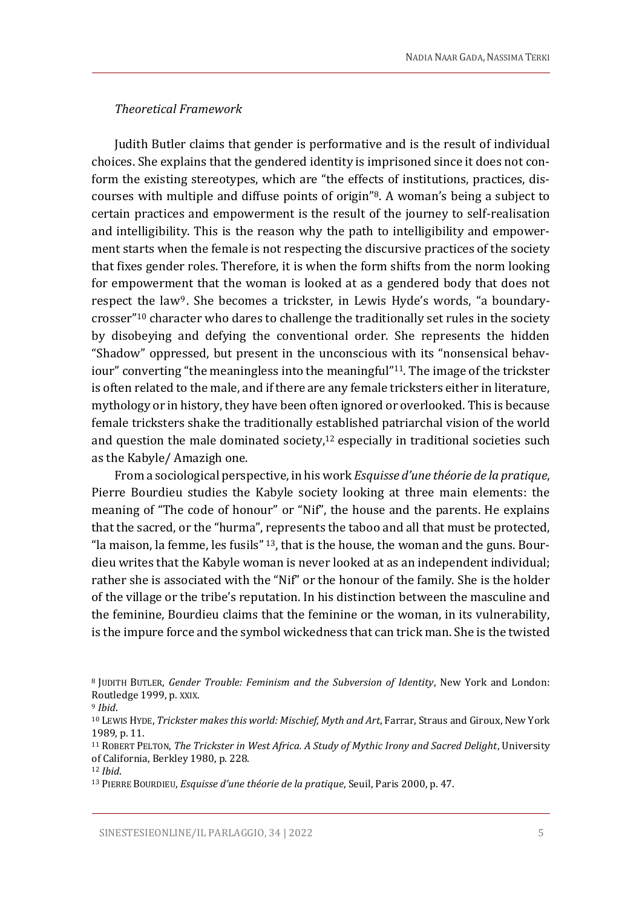#### *Theoretical Framework*

Judith Butler claims that gender is performative and is the result of individual choices. She explains that the gendered identity is imprisoned since it does not conform the existing stereotypes, which are "the effects of institutions, practices, discourses with multiple and diffuse points of origin"8. A woman's being a subject to certain practices and empowerment is the result of the journey to self-realisation and intelligibility. This is the reason why the path to intelligibility and empowerment starts when the female is not respecting the discursive practices of the society that fixes gender roles. Therefore, it is when the form shifts from the norm looking for empowerment that the woman is looked at as a gendered body that does not respect the law<sup>9</sup>. She becomes a trickster, in Lewis Hyde's words, "a boundarycrosser"<sup>10</sup> character who dares to challenge the traditionally set rules in the society by disobeying and defying the conventional order. She represents the hidden "Shadow" oppressed, but present in the unconscious with its "nonsensical behaviour" converting "the meaningless into the meaningful"11. The image of the trickster is often related to the male, and if there are any female tricksters either in literature, mythology or in history, they have been often ignored or overlooked. This is because female tricksters shake the traditionally established patriarchal vision of the world and question the male dominated society, $12$  especially in traditional societies such as the Kabyle/ Amazigh one.

From a sociological perspective, in his work *Esquisse d'une théorie de la pratique*, Pierre Bourdieu studies the Kabyle society looking at three main elements: the meaning of "The code of honour" or "Nif", the house and the parents. He explains that the sacred, or the "hurma", represents the taboo and all that must be protected, "la maison, la femme, les fusils"  $13$ , that is the house, the woman and the guns. Bourdieu writes that the Kabyle woman is never looked at as an independent individual; rather she is associated with the "Nif" or the honour of the family. She is the holder of the village or the tribe's reputation. In his distinction between the masculine and the feminine, Bourdieu claims that the feminine or the woman, in its vulnerability, is the impure force and the symbol wickedness that can trick man. She is the twisted

<sup>8</sup> JUDITH BUTLER, *Gender Trouble: Feminism and the Subversion of Identity*, New York and London: Routledge 1999, p. XXIX.

<sup>9</sup> *Ibid*.

<sup>10</sup> LEWIS HYDE, *Trickster makes this world: Mischief, Myth and Art*, Farrar, Straus and Giroux, New York 1989, p. 11.

<sup>11</sup> ROBERT PELTON, *The Trickster in West Africa. A Study of Mythic Irony and Sacred Delight*, University of California, Berkley 1980, p. 228.

<sup>12</sup> *Ibid*.

<sup>13</sup> PIERRE BOURDIEU, *Esquisse d'une théorie de la pratique*, Seuil, Paris 2000, p. 47.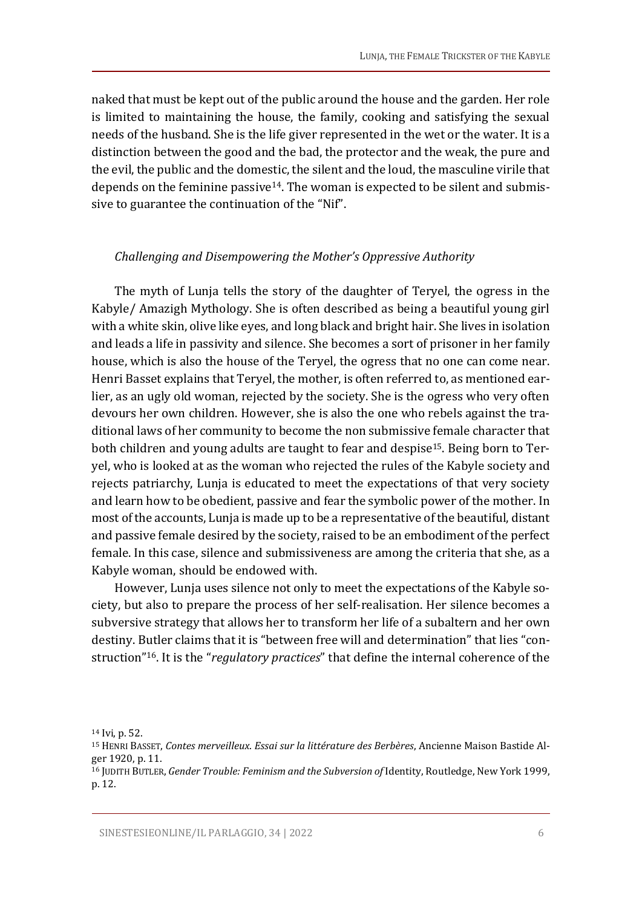naked that must be kept out of the public around the house and the garden. Her role is limited to maintaining the house, the family, cooking and satisfying the sexual needs of the husband. She is the life giver represented in the wet or the water. It is a distinction between the good and the bad, the protector and the weak, the pure and the evil, the public and the domestic, the silent and the loud, the masculine virile that depends on the feminine passive<sup>14</sup>. The woman is expected to be silent and submissive to guarantee the continuation of the "Nif".

#### *Challenging and Disempowering the Mother's Oppressive Authority*

The myth of Lunja tells the story of the daughter of Teryel, the ogress in the Kabyle/ Amazigh Mythology. She is often described as being a beautiful young girl with a white skin, olive like eyes, and long black and bright hair. She lives in isolation and leads a life in passivity and silence. She becomes a sort of prisoner in her family house, which is also the house of the Teryel, the ogress that no one can come near. Henri Basset explains that Teryel, the mother, is often referred to, as mentioned earlier, as an ugly old woman, rejected by the society. She is the ogress who very often devours her own children. However, she is also the one who rebels against the traditional laws of her community to become the non submissive female character that both children and young adults are taught to fear and despise15. Being born to Teryel, who is looked at as the woman who rejected the rules of the Kabyle society and rejects patriarchy, Lunja is educated to meet the expectations of that very society and learn how to be obedient, passive and fear the symbolic power of the mother. In most of the accounts, Lunja is made up to be a representative of the beautiful, distant and passive female desired by the society, raised to be an embodiment of the perfect female. In this case, silence and submissiveness are among the criteria that she, as a Kabyle woman, should be endowed with.

However, Lunja uses silence not only to meet the expectations of the Kabyle society, but also to prepare the process of her self-realisation. Her silence becomes a subversive strategy that allows her to transform her life of a subaltern and her own destiny. Butler claims that it is "between free will and determination" that lies "construction"16. It is the "*regulatory practices*" that define the internal coherence of the

<sup>14</sup> Ivi, p. 52.

<sup>15</sup> HENRI BASSET, *Contes merveilleux*. *Essai sur la littérature des Berbères*, Ancienne Maison Bastide Alger 1920, p. 11.

<sup>16</sup> JUDITH BUTLER, *Gender Trouble: Feminism and the Subversion of* Identity, Routledge, New York 1999, p. 12.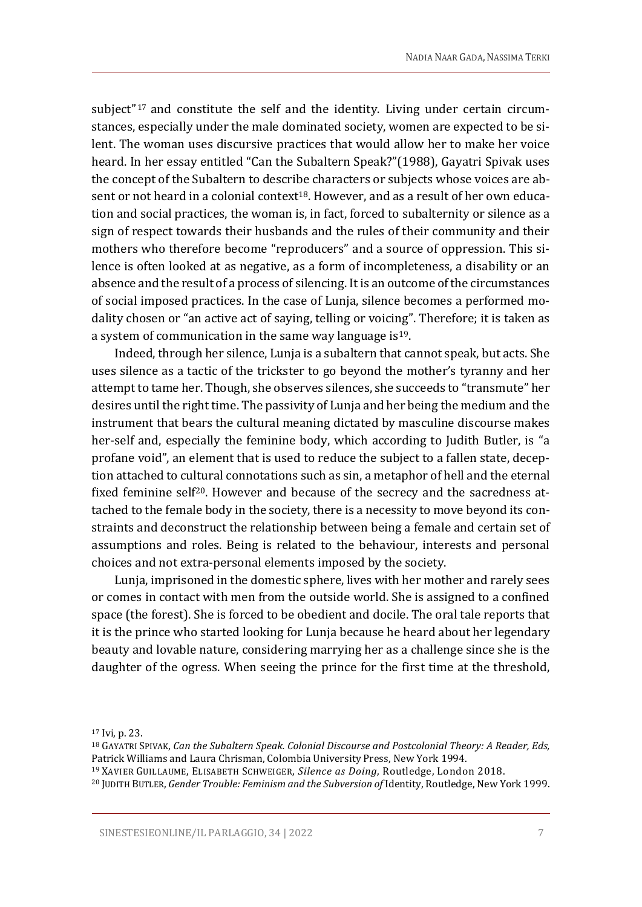subject"<sup>17</sup> and constitute the self and the identity. Living under certain circumstances, especially under the male dominated society, women are expected to be silent. The woman uses discursive practices that would allow her to make her voice heard. In her essay entitled "Can the Subaltern Speak?"(1988), Gayatri Spivak uses the concept of the Subaltern to describe characters or subjects whose voices are absent or not heard in a colonial context<sup>18</sup>. However, and as a result of her own education and social practices, the woman is, in fact, forced to subalternity or silence as a sign of respect towards their husbands and the rules of their community and their mothers who therefore become "reproducers" and a source of oppression. This silence is often looked at as negative, as a form of incompleteness, a disability or an absence and the result of a process of silencing. It is an outcome of the circumstances of social imposed practices. In the case of Lunja, silence becomes a performed modality chosen or "an active act of saying, telling or voicing". Therefore; it is taken as a system of communication in the same way language is<sup>19</sup>.

Indeed, through her silence, Lunja is a subaltern that cannot speak, but acts. She uses silence as a tactic of the trickster to go beyond the mother's tyranny and her attempt to tame her. Though, she observes silences, she succeeds to "transmute" her desires until the right time. The passivity of Lunja and her being the medium and the instrument that bears the cultural meaning dictated by masculine discourse makes her-self and, especially the feminine body, which according to Judith Butler, is "a profane void", an element that is used to reduce the subject to a fallen state, deception attached to cultural connotations such as sin, a metaphor of hell and the eternal fixed feminine self<sup>20</sup>. However and because of the secrecy and the sacredness attached to the female body in the society, there is a necessity to move beyond its constraints and deconstruct the relationship between being a female and certain set of assumptions and roles. Being is related to the behaviour, interests and personal choices and not extra-personal elements imposed by the society.

Lunja, imprisoned in the domestic sphere, lives with her mother and rarely sees or comes in contact with men from the outside world. She is assigned to a confined space (the forest). She is forced to be obedient and docile. The oral tale reports that it is the prince who started looking for Lunja because he heard about her legendary beauty and lovable nature, considering marrying her as a challenge since she is the daughter of the ogress. When seeing the prince for the first time at the threshold,

<sup>17</sup> Ivi, p. 23.

<sup>18</sup> GAYATRI SPIVAK, *Can the Subaltern Speak. Colonial Discourse and Postcolonial Theory: A Reader, Eds,*  Patrick Williams and Laura Chrisman, Colombia University Press, New York 1994.

<sup>19</sup> XAVIER GUILLAUME, ELISABETH SCHWEIGER, *Silence as Doing*, Routledge, London 2018.

<sup>20</sup> JUDITH BUTLER, *Gender Trouble: Feminism and the Subversion of* Identity, Routledge, New York 1999.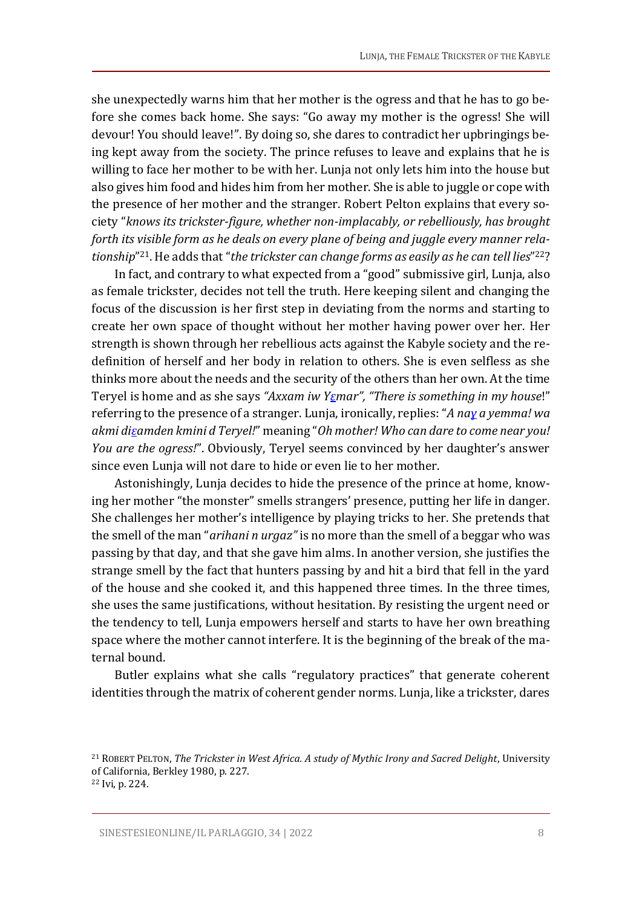she unexpectedly warns him that her mother is the ogress and that he has to go before she comes back home. She says: "Go away my mother is the ogress! She will devour! You should leave!". By doing so, she dares to contradict her upbringings being kept away from the society. The prince refuses to leave and explains that he is willing to face her mother to be with her. Lunja not only lets him into the house but also gives him food and hides him from her mother. She is able to juggle or cope with the presence of her mother and the stranger. Robert Pelton explains that every society "*knows its trickster-figure, whether non-implacably, or rebelliously, has brought forth its visible form as he deals on every plane of being and juggle every manner relationship*" <sup>21</sup>. He adds that "*the trickster can change forms as easily as he can tell lies*" <sup>22</sup>?

In fact, and contrary to what expected from a "good" submissive girl, Lunja, also as female trickster, decides not tell the truth. Here keeping silent and changing the focus of the discussion is her first step in deviating from the norms and starting to create her own space of thought without her mother having power over her. Her strength is shown through her rebellious acts against the Kabyle society and the redefinition of herself and her body in relation to others. She is even selfless as she thinks more about the needs and the security of the others than her own. At the time Teryel is home and as she says *"Axxam iw [Yɛm](https://fr.wikipedia.org/wiki/%C6%90)ar", "There is something in my house*!" referring to the presence of a stranger. Lunja, ironically, replies: "*A na[ɣ](https://fr.wikipedia.org/wiki/%C6%94) a yemma! wa akmi di[ɛ](https://fr.wikipedia.org/wiki/%C6%90)amden kmini d Teryel!*" meaning "*Oh mother! Who can dare to come near you! You are the ogress!*". Obviously, Teryel seems convinced by her daughter's answer since even Lunja will not dare to hide or even lie to her mother.

Astonishingly, Lunja decides to hide the presence of the prince at home, knowing her mother "the monster" smells strangers' presence, putting her life in danger. She challenges her mother's intelligence by playing tricks to her. She pretends that the smell of the man "*arihani n urgaz"* is no more than the smell of a beggar who was passing by that day, and that she gave him alms. In another version, she justifies the strange smell by the fact that hunters passing by and hit a bird that fell in the yard of the house and she cooked it, and this happened three times. In the three times, she uses the same justifications, without hesitation. By resisting the urgent need or the tendency to tell, Lunja empowers herself and starts to have her own breathing space where the mother cannot interfere. It is the beginning of the break of the maternal bound.

Butler explains what she calls "regulatory practices" that generate coherent identities through the matrix of coherent gender norms. Lunja, like a trickster, dares

<sup>21</sup> ROBERT PELTON, *The Trickster in West Africa. A study of Mythic Irony and Sacred Delight*, University of California, Berkley 1980, p. 227. <sup>22</sup> Ivi, p. 224.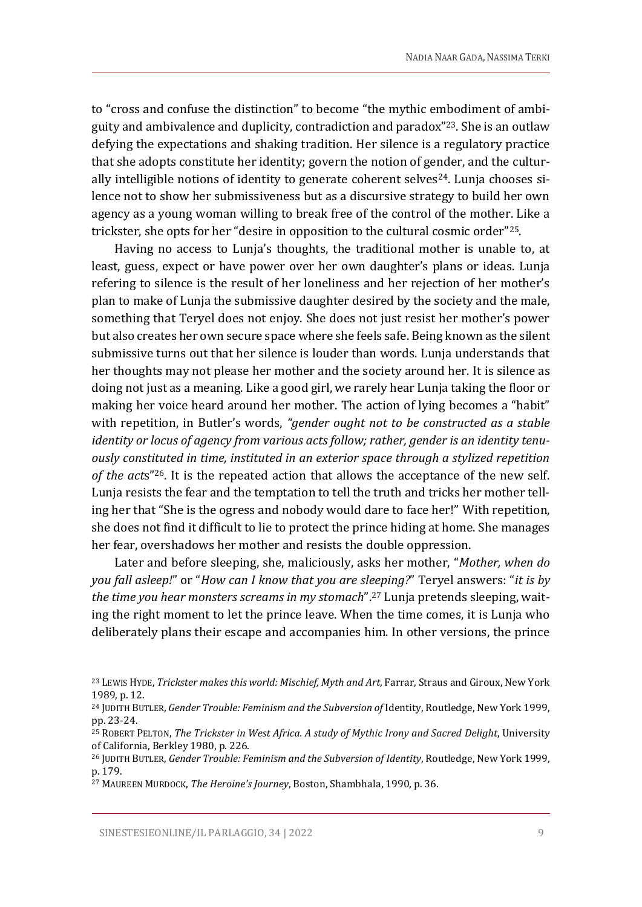to "cross and confuse the distinction" to become "the mythic embodiment of ambiguity and ambivalence and duplicity, contradiction and paradox"23. She is an outlaw defying the expectations and shaking tradition. Her silence is a regulatory practice that she adopts constitute her identity; govern the notion of gender, and the culturally intelligible notions of identity to generate coherent selves<sup>24</sup>. Lunja chooses silence not to show her submissiveness but as a discursive strategy to build her own agency as a young woman willing to break free of the control of the mother. Like a trickster, she opts for her "desire in opposition to the cultural cosmic order"25.

Having no access to Lunja's thoughts, the traditional mother is unable to, at least, guess, expect or have power over her own daughter's plans or ideas. Lunja refering to silence is the result of her loneliness and her rejection of her mother's plan to make of Lunja the submissive daughter desired by the society and the male, something that Teryel does not enjoy. She does not just resist her mother's power but also creates her own secure space where she feels safe. Being known as the silent submissive turns out that her silence is louder than words. Lunja understands that her thoughts may not please her mother and the society around her. It is silence as doing not just as a meaning. Like a good girl, we rarely hear Lunja taking the floor or making her voice heard around her mother. The action of lying becomes a "habit" with repetition, in Butler's words, *"gender ought not to be constructed as a stable identity or locus of agency from various acts follow; rather, gender is an identity tenuously constituted in time, instituted in an exterior space through a stylized repetition of the act*s"26. It is the repeated action that allows the acceptance of the new self. Lunja resists the fear and the temptation to tell the truth and tricks her mother telling her that "She is the ogress and nobody would dare to face her!" With repetition, she does not find it difficult to lie to protect the prince hiding at home. She manages her fear, overshadows her mother and resists the double oppression.

Later and before sleeping, she, maliciously, asks her mother, "*Mother, when do you fall asleep!*" or "*How can I know that you are sleeping?*" Teryel answers: "*it is by the time you hear monsters screams in my stomach*".<sup>27</sup> Lunja pretends sleeping, waiting the right moment to let the prince leave. When the time comes, it is Lunja who deliberately plans their escape and accompanies him. In other versions, the prince

<sup>23</sup> LEWIS HYDE, *Trickster makes this world: Mischief, Myth and Art*, Farrar, Straus and Giroux, New York 1989, p. 12.

<sup>24</sup> JUDITH BUTLER, *Gender Trouble: Feminism and the Subversion of* Identity, Routledge, New York 1999, pp. 23-24.

<sup>25</sup> ROBERT PELTON, *The Trickster in West Africa. A study of Mythic Irony and Sacred Delight*, University of California, Berkley 1980, p. 226.

<sup>26</sup> JUDITH BUTLER, *Gender Trouble: Feminism and the Subversion of Identity*, Routledge, New York 1999, p. 179.

<sup>27</sup> MAUREEN MURDOCK, *The Heroine's Journey*, Boston, Shambhala, 1990, p. 36.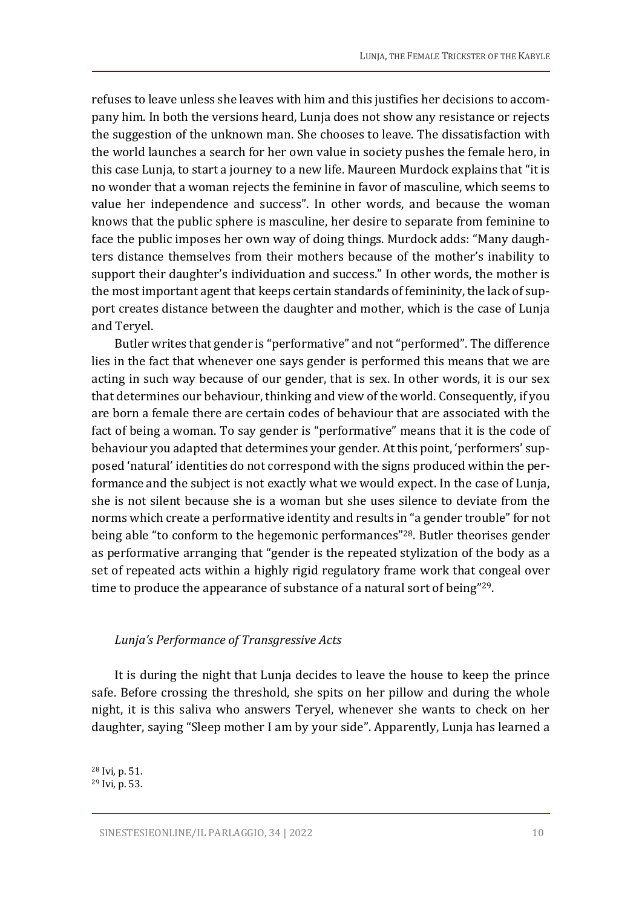refuses to leave unless she leaves with him and this justifies her decisions to accompany him. In both the versions heard, Lunja does not show any resistance or rejects the suggestion of the unknown man. She chooses to leave. The dissatisfaction with the world launches a search for her own value in society pushes the female hero, in this case Lunja, to start a journey to a new life. Maureen Murdock explains that "it is no wonder that a woman rejects the feminine in favor of masculine, which seems to value her independence and success". In other words, and because the woman knows that the public sphere is masculine, her desire to separate from feminine to face the public imposes her own way of doing things. Murdock adds: "Many daughters distance themselves from their mothers because of the mother's inability to support their daughter's individuation and success." In other words, the mother is the most important agent that keeps certain standards of femininity, the lack of support creates distance between the daughter and mother, which is the case of Lunja and Teryel.

Butler writes that gender is "performative" and not "performed". The difference lies in the fact that whenever one says gender is performed this means that we are acting in such way because of our gender, that is sex. In other words, it is our sex that determines our behaviour, thinking and view of the world. Consequently, if you are born a female there are certain codes of behaviour that are associated with the fact of being a woman. To say gender is "performative" means that it is the code of behaviour you adapted that determines your gender. At this point, 'performers' supposed 'natural' identities do not correspond with the signs produced within the performance and the subject is not exactly what we would expect. In the case of Lunja, she is not silent because she is a woman but she uses silence to deviate from the norms which create a performative identity and results in "a gender trouble" for not being able "to conform to the hegemonic performances"28. Butler theorises gender as performative arranging that "gender is the repeated stylization of the body as a set of repeated acts within a highly rigid regulatory frame work that congeal over time to produce the appearance of substance of a natural sort of being"<sup>29</sup>.

#### *Lunja's Performance of Transgressive Acts*

It is during the night that Lunja decides to leave the house to keep the prince safe. Before crossing the threshold, she spits on her pillow and during the whole night, it is this saliva who answers Teryel, whenever she wants to check on her daughter, saying "Sleep mother I am by your side". Apparently, Lunja has learned a

<sup>28</sup> Ivi, p. 51. <sup>29</sup> Ivi, p. 53.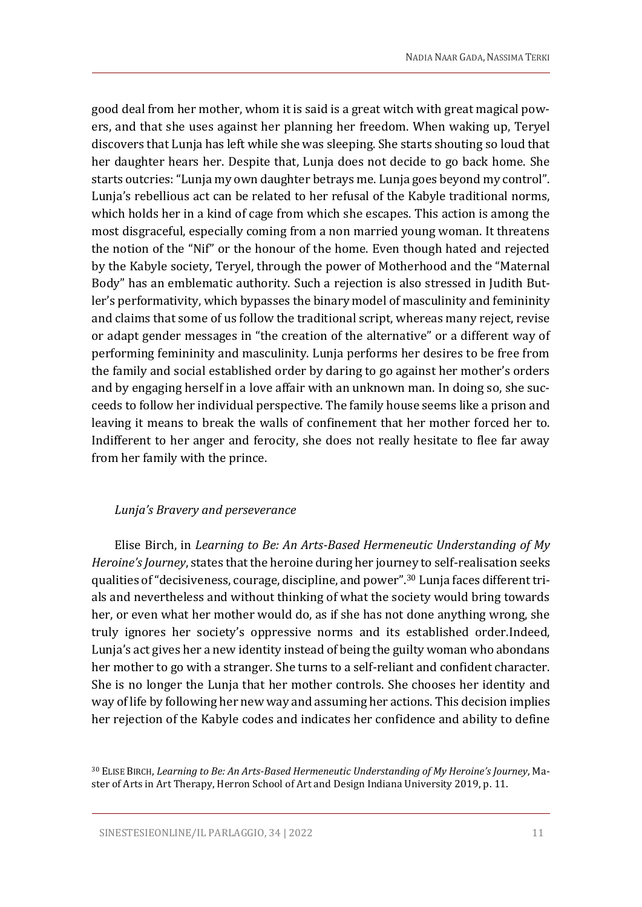good deal from her mother, whom it is said is a great witch with great magical powers, and that she uses against her planning her freedom. When waking up, Teryel discovers that Lunja has left while she was sleeping. She starts shouting so loud that her daughter hears her. Despite that, Lunja does not decide to go back home. She starts outcries: "Lunja my own daughter betrays me. Lunja goes beyond my control". Lunja's rebellious act can be related to her refusal of the Kabyle traditional norms, which holds her in a kind of cage from which she escapes. This action is among the most disgraceful, especially coming from a non married young woman. It threatens the notion of the "Nif" or the honour of the home. Even though hated and rejected by the Kabyle society, Teryel, through the power of Motherhood and the "Maternal Body" has an emblematic authority. Such a rejection is also stressed in Judith Butler's performativity, which bypasses the binary model of masculinity and femininity and claims that some of us follow the traditional script, whereas many reject, revise or adapt gender messages in "the creation of the alternative" or a different way of performing femininity and masculinity. Lunja performs her desires to be free from the family and social established order by daring to go against her mother's orders and by engaging herself in a love affair with an unknown man. In doing so, she succeeds to follow her individual perspective. The family house seems like a prison and leaving it means to break the walls of confinement that her mother forced her to. Indifferent to her anger and ferocity, she does not really hesitate to flee far away from her family with the prince.

### *Lunja's Bravery and perseverance*

Elise Birch, in *Learning to Be: An Arts-Based Hermeneutic Understanding of My Heroine's Journey*, states that the heroine during her journey to self-realisation seeks qualities of "decisiveness, courage, discipline, and power".<sup>30</sup> Lunja faces different trials and nevertheless and without thinking of what the society would bring towards her, or even what her mother would do, as if she has not done anything wrong, she truly ignores her society's oppressive norms and its established order.Indeed, Lunja's act gives her a new identity instead of being the guilty woman who abondans her mother to go with a stranger. She turns to a self-reliant and confident character. She is no longer the Lunja that her mother controls. She chooses her identity and way of life by following her new way and assuming her actions. This decision implies her rejection of the Kabyle codes and indicates her confidence and ability to define

<sup>30</sup> ELISE BIRCH, *Learning to Be: An Arts-Based Hermeneutic Understanding of My Heroine's Journey*, Master of Arts in Art Therapy, Herron School of Art and Design Indiana University 2019, p. 11.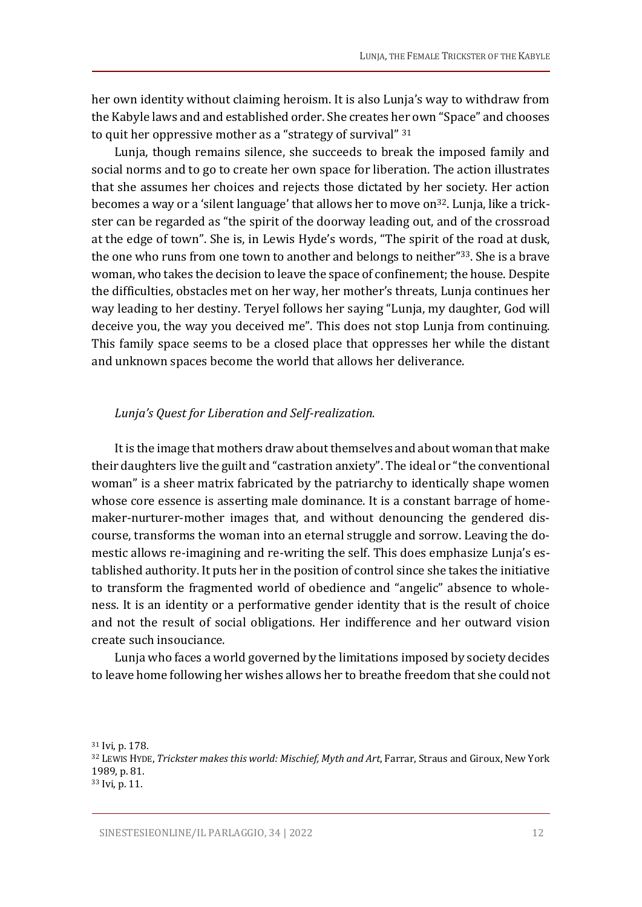her own identity without claiming heroism. It is also Lunja's way to withdraw from the Kabyle laws and and established order. She creates her own "Space" and chooses to quit her oppressive mother as a "strategy of survival" 31

Lunja, though remains silence, she succeeds to break the imposed family and social norms and to go to create her own space for liberation. The action illustrates that she assumes her choices and rejects those dictated by her society. Her action becomes a way or a 'silent language' that allows her to move on<sup>32</sup>. Lunja, like a trickster can be regarded as "the spirit of the doorway leading out, and of the crossroad at the edge of town". She is, in Lewis Hyde's words, "The spirit of the road at dusk, the one who runs from one town to another and belongs to neither"<sup>33</sup>. She is a brave woman, who takes the decision to leave the space of confinement; the house. Despite the difficulties, obstacles met on her way, her mother's threats, Lunja continues her way leading to her destiny. Teryel follows her saying "Lunja, my daughter, God will deceive you, the way you deceived me". This does not stop Lunja from continuing. This family space seems to be a closed place that oppresses her while the distant and unknown spaces become the world that allows her deliverance.

#### *Lunja's Quest for Liberation and Self-realization.*

It is the image that mothers draw about themselves and about woman that make their daughters live the guilt and "castration anxiety". The ideal or "the conventional woman" is a sheer matrix fabricated by the patriarchy to identically shape women whose core essence is asserting male dominance. It is a constant barrage of homemaker-nurturer-mother images that, and without denouncing the gendered discourse, transforms the woman into an eternal struggle and sorrow. Leaving the domestic allows re-imagining and re-writing the self. This does emphasize Lunja's established authority. It puts her in the position of control since she takes the initiative to transform the fragmented world of obedience and "angelic" absence to wholeness. It is an identity or a performative gender identity that is the result of choice and not the result of social obligations. Her indifference and her outward vision create such insouciance.

Lunja who faces a world governed by the limitations imposed by society decides to leave home following her wishes allows her to breathe freedom that she could not

<sup>31</sup> Ivi, p. 178. <sup>32</sup> LEWIS HYDE, *Trickster makes this world: Mischief, Myth and Art*, Farrar, Straus and Giroux, New York 1989, p. 81. <sup>33</sup> Ivi, p. 11.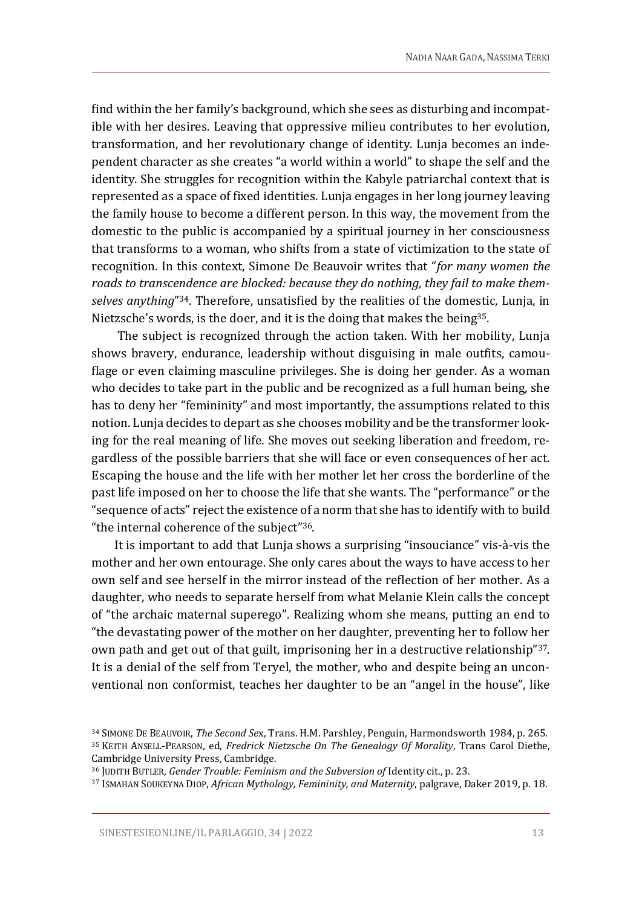find within the her family's background, which she sees as disturbing and incompatible with her desires. Leaving that oppressive milieu contributes to her evolution, transformation, and her revolutionary change of identity. Lunja becomes an independent character as she creates "a world within a world" to shape the self and the identity. She struggles for recognition within the Kabyle patriarchal context that is represented as a space of fixed identities. Lunja engages in her long journey leaving the family house to become a different person. In this way, the movement from the domestic to the public is accompanied by a spiritual journey in her consciousness that transforms to a woman, who shifts from a state of victimization to the state of recognition. In this context, Simone De Beauvoir writes that "*for many women the roads to transcendence are blocked: because they do nothing, they fail to make themselves anything*" <sup>34</sup>. Therefore, unsatisfied by the realities of the domestic, Lunja, in Nietzsche's words, is the doer, and it is the doing that makes the being<sup>35</sup>.

The subject is recognized through the action taken. With her mobility, Lunja shows bravery, endurance, leadership without disguising in male outfits, camouflage or even claiming masculine privileges. She is doing her gender. As a woman who decides to take part in the public and be recognized as a full human being, she has to deny her "femininity" and most importantly, the assumptions related to this notion. Lunja decides to depart as she chooses mobility and be the transformer looking for the real meaning of life. She moves out seeking liberation and freedom, regardless of the possible barriers that she will face or even consequences of her act. Escaping the house and the life with her mother let her cross the borderline of the past life imposed on her to choose the life that she wants. The "performance" or the "sequence of acts" reject the existence of a norm that she has to identify with to build "the internal coherence of the subject"36.

It is important to add that Lunja shows a surprising "insouciance" vis-à-vis the mother and her own entourage. She only cares about the ways to have access to her own self and see herself in the mirror instead of the reflection of her mother. As a daughter, who needs to separate herself from what Melanie Klein calls the concept of "the archaic maternal superego". Realizing whom she means, putting an end to "the devastating power of the mother on her daughter, preventing her to follow her own path and get out of that guilt, imprisoning her in a destructive relationship"37. It is a denial of the self from Teryel, the mother, who and despite being an unconventional non conformist, teaches her daughter to be an "angel in the house", like

<sup>34</sup> SIMONE DE BEAUVOIR, *The Second Se*x, Trans. H.M. Parshley, Penguin, Harmondsworth 1984, p. 265. <sup>35</sup> KEITH ANSELL-PEARSON, ed, *Fredrick Nietzsche On The Genealogy Of Morality*, Trans Carol Diethe, Cambridge University Press, Cambridge.

<sup>36</sup> JUDITH BUTLER, *Gender Trouble: Feminism and the Subversion of* Identity cit., p. 23.

<sup>37</sup> ISMAHAN SOUKEYNA DIOP, *African Mythology, Femininity, and Maternity*, palgrave, Daker 2019, p. 18.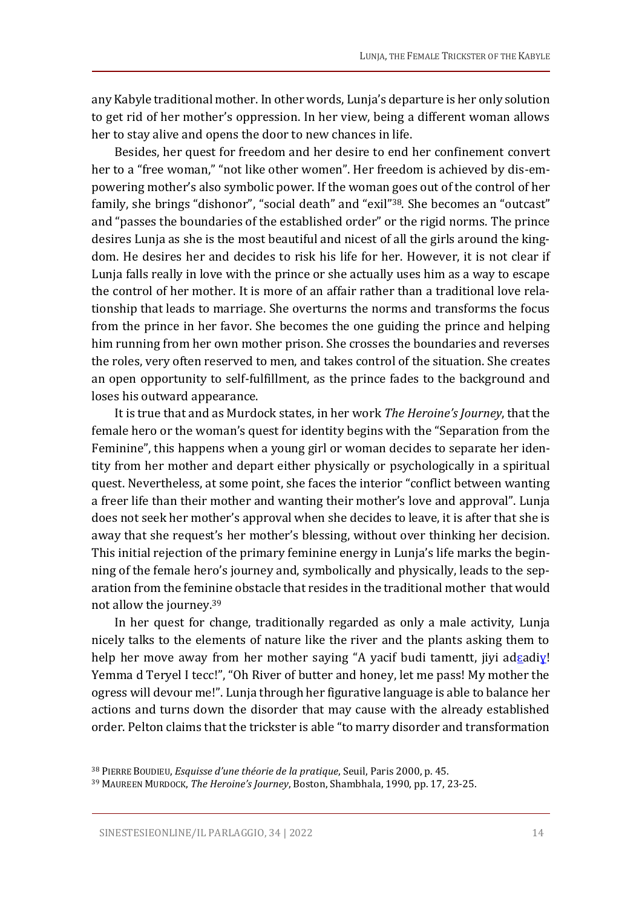any Kabyle traditional mother. In other words, Lunja's departure is her only solution to get rid of her mother's oppression. In her view, being a different woman allows her to stay alive and opens the door to new chances in life.

Besides, her quest for freedom and her desire to end her confinement convert her to a "free woman," "not like other women". Her freedom is achieved by dis-empowering mother's also symbolic power. If the woman goes out of the control of her family, she brings "dishonor", "social death" and "exil"38. She becomes an "outcast" and "passes the boundaries of the established order" or the rigid norms. The prince desires Lunja as she is the most beautiful and nicest of all the girls around the kingdom. He desires her and decides to risk his life for her. However, it is not clear if Lunja falls really in love with the prince or she actually uses him as a way to escape the control of her mother. It is more of an affair rather than a traditional love relationship that leads to marriage. She overturns the norms and transforms the focus from the prince in her favor. She becomes the one guiding the prince and helping him running from her own mother prison. She crosses the boundaries and reverses the roles, very often reserved to men, and takes control of the situation. She creates an open opportunity to self-fulfillment, as the prince fades to the background and loses his outward appearance.

It is true that and as Murdock states, in her work *The Heroine's Journey*, that the female hero or the woman's quest for identity begins with the "Separation from the Feminine", this happens when a young girl or woman decides to separate her identity from her mother and depart either physically or psychologically in a spiritual quest. Nevertheless, at some point, she faces the interior "conflict between wanting a freer life than their mother and wanting their mother's love and approval". Lunja does not seek her mother's approval when she decides to leave, it is after that she is away that she request's her mother's blessing, without over thinking her decision. This initial rejection of the primary feminine energy in Lunja's life marks the beginning of the female hero's journey and, symbolically and physically, leads to the separation from the feminine obstacle that resides in the traditional mother that would not allow the journey.<sup>39</sup>

In her quest for change, traditionally regarded as only a male activity, Lunja nicely talks to the elements of nature like the river and the plants asking them to help her move away from her mother saying "A yacif budi tamentt, jiyi adsadiy! Yemma d Teryel I tecc!", "Oh River of butter and honey, let me pass! My mother the ogress will devour me!". Lunja through her figurative language is able to balance her actions and turns down the disorder that may cause with the already established order. Pelton claims that the trickster is able "to marry disorder and transformation

<sup>38</sup> PIERRE BOUDIEU, *Esquisse d'une théorie de la pratique*, Seuil, Paris 2000, p. 45.

<sup>39</sup> MAUREEN MURDOCK, *The Heroine's Journey*, Boston, Shambhala, 1990, pp. 17, 23-25.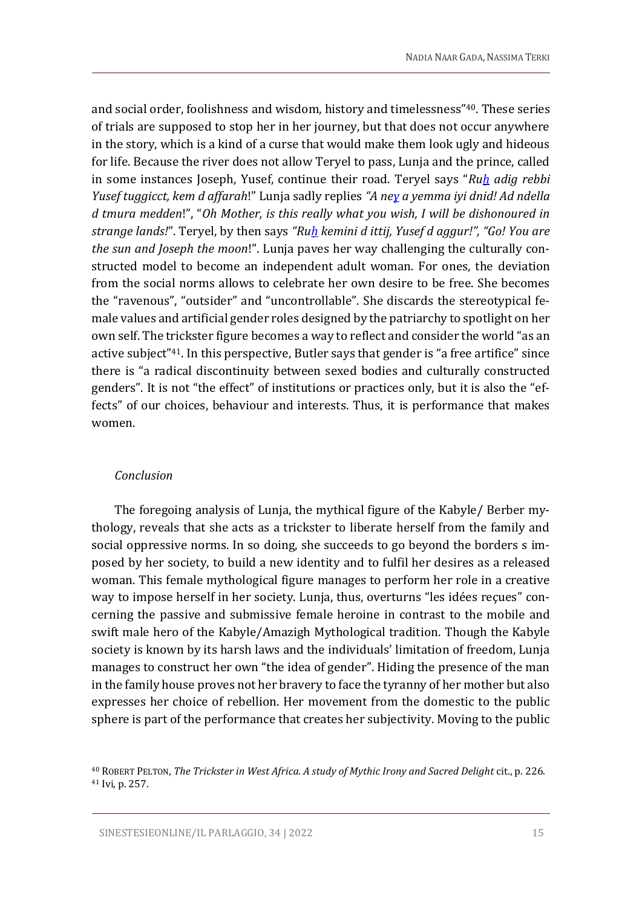and social order, foolishness and wisdom, history and timelessness"40. These series of trials are supposed to stop her in her journey, but that does not occur anywhere in the story, which is a kind of a curse that would make them look ugly and hideous for life. Because the river does not allow Teryel to pass, Lunja and the prince, called in some instances Joseph, Yusef, continue their road. Teryel says "*Ru[ḥ](https://fr.wikipedia.org/wiki/%E1%B8%A4) adig rebbi Yusef tuggicct, kem d affarah*!" Lunja sadly replies *"A n[eɣ](https://fr.wikipedia.org/wiki/%C6%94) a yemma iyi dnid! Ad ndella d tmura medden*!", "*Oh Mother, is this really what you wish, I will be dishonoured in strange lands!*". Teryel, by then says *"R[uḥ](https://fr.wikipedia.org/wiki/%E1%B8%A4) kemini d ittij, Yusef d aggur!", "Go! You are the sun and Joseph the moon*!". Lunja paves her way challenging the culturally constructed model to become an independent adult woman. For ones, the deviation from the social norms allows to celebrate her own desire to be free. She becomes the "ravenous", "outsider" and "uncontrollable". She discards the stereotypical female values and artificial gender roles designed by the patriarchy to spotlight on her own self. The trickster figure becomes a way to reflect and consider the world "as an active subject"41. In this perspective, Butler says that gender is "a free artifice" since there is "a radical discontinuity between sexed bodies and culturally constructed genders". It is not "the effect" of institutions or practices only, but it is also the "effects" of our choices, behaviour and interests. Thus, it is performance that makes women.

#### *Conclusion*

The foregoing analysis of Lunja, the mythical figure of the Kabyle/ Berber mythology, reveals that she acts as a trickster to liberate herself from the family and social oppressive norms. In so doing, she succeeds to go beyond the borders s imposed by her society, to build a new identity and to fulfil her desires as a released woman. This female mythological figure manages to perform her role in a creative way to impose herself in her society. Lunja, thus, overturns "les idées reçues" concerning the passive and submissive female heroine in contrast to the mobile and swift male hero of the Kabyle/Amazigh Mythological tradition. Though the Kabyle society is known by its harsh laws and the individuals' limitation of freedom, Lunja manages to construct her own "the idea of gender". Hiding the presence of the man in the family house proves not her bravery to face the tyranny of her mother but also expresses her choice of rebellion. Her movement from the domestic to the public sphere is part of the performance that creates her subjectivity. Moving to the public

<sup>40</sup> ROBERT PELTON, *The Trickster in West Africa. A study of Mythic Irony and Sacred Delight* cit., p. 226. <sup>41</sup> Ivi, p. 257.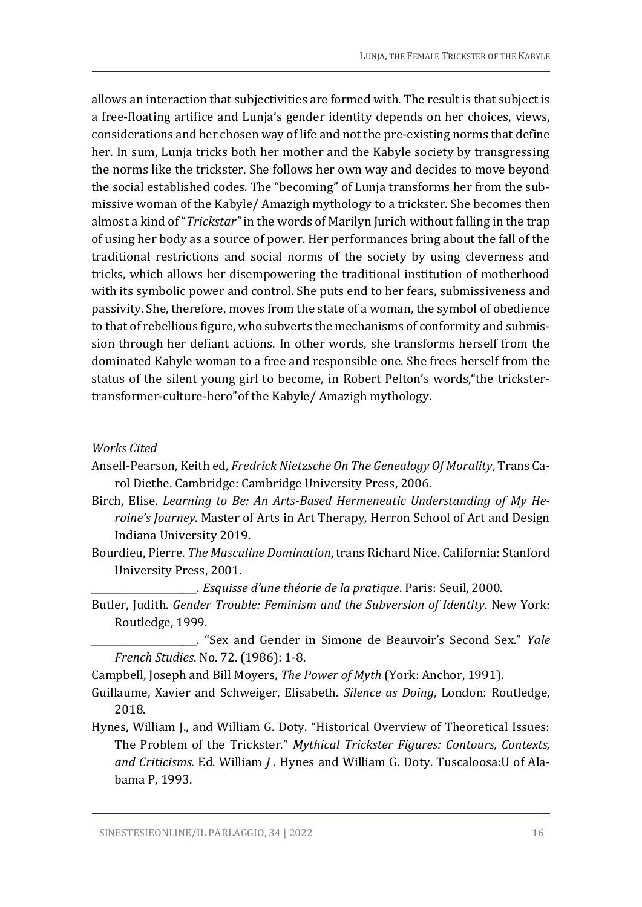allows an interaction that subjectivities are formed with. The result is that subject is a free-floating artifice and Lunja's gender identity depends on her choices, views, considerations and her chosen way of life and not the pre-existing norms that define her. In sum, Lunja tricks both her mother and the Kabyle society by transgressing the norms like the trickster. She follows her own way and decides to move beyond the social established codes. The "becoming" of Lunja transforms her from the submissive woman of the Kabyle/ Amazigh mythology to a trickster. She becomes then almost a kind of "*Trickstar"* in the words of Marilyn Jurich without falling in the trap of using her body as a source of power. Her performances bring about the fall of the traditional restrictions and social norms of the society by using cleverness and tricks, which allows her disempowering the traditional institution of motherhood with its symbolic power and control. She puts end to her fears, submissiveness and passivity. She, therefore, moves from the state of a woman, the symbol of obedience to that of rebellious figure, who subverts the mechanisms of conformity and submission through her defiant actions. In other words, she transforms herself from the dominated Kabyle woman to a free and responsible one. She frees herself from the status of the silent young girl to become, in Robert Pelton's words,"the trickstertransformer-culture-hero"of the Kabyle/ Amazigh mythology.

#### *Works Cited*

- Ansell-Pearson, Keith ed, *Fredrick Nietzsche On The Genealogy Of Morality*, Trans Carol Diethe. Cambridge: Cambridge University Press, 2006.
- Birch, Elise. *Learning to Be: An Arts-Based Hermeneutic Understanding of My Heroine's Journey*. Master of Arts in Art Therapy, Herron School of Art and Design Indiana University 2019.
- Bourdieu, Pierre. *The Masculine Domination*, trans Richard Nice. California: Stanford University Press, 2001.

\_\_\_\_\_\_\_\_\_\_\_\_\_\_\_\_\_\_\_\_\_\_. *Esquisse d'une théorie de la pratique*. Paris: Seuil, 2000.

Butler, Judith. *Gender Trouble: Feminism and the Subversion of Identity*. New York: Routledge, 1999.

\_\_\_\_\_\_\_\_\_\_\_\_\_\_\_\_\_\_\_\_\_\_. "Sex and Gender in Simone de Beauvoir's Second Sex." *Yale French Studies*. No. 72. (1986): 1-8.

Campbell, Joseph and Bill Moyers, *The Power of Myth* (York: Anchor, 1991).

- Guillaume, Xavier and Schweiger, Elisabeth. *Silence as Doing*, London: Routledge, 2018.
- Hynes, William J., and William G. Doty. "Historical Overview of Theoretical Issues: The Problem of the Trickster." *Mythical Trickster Figures: Contours, Contexts, and Criticisms.* Ed. William *J .* Hynes and William G. Doty. Tuscaloosa:U of Alabama P, 1993.